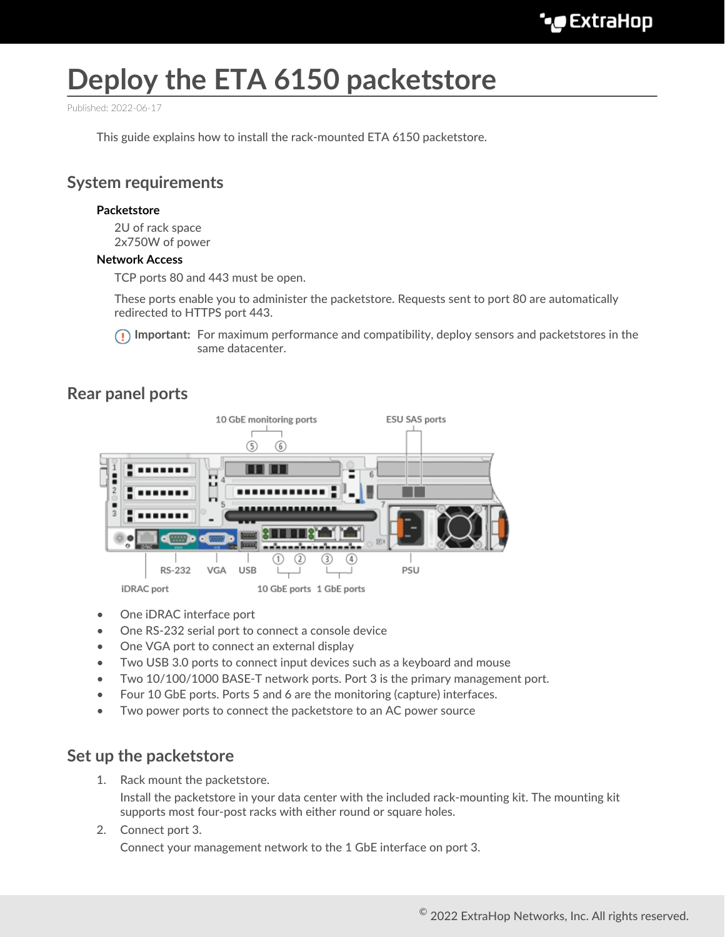# **Deploy the ETA 6150 packetstore**

Published: 2022-06-17

This guide explains how to install the rack-mounted ETA 6150 packetstore.

# **System requirements**

#### **Packetstore**

2U of rack space 2x750W of power

#### **Network Access**

TCP ports 80 and 443 must be open.

These ports enable you to administer the packetstore. Requests sent to port 80 are automatically redirected to HTTPS port 443.

**Important:** For maximum performance and compatibility, deploy sensors and packetstores in the same datacenter.

## **Rear panel ports**



- One iDRAC interface port
- One RS-232 serial port to connect a console device
- One VGA port to connect an external display
- Two USB 3.0 ports to connect input devices such as a keyboard and mouse
- Two 10/100/1000 BASE-T network ports. Port 3 is the primary management port.
- Four 10 GbE ports. Ports 5 and 6 are the monitoring (capture) interfaces.
- Two power ports to connect the packetstore to an AC power source

## **Set up the packetstore**

1. Rack mount the packetstore.

Install the packetstore in your data center with the included rack-mounting kit. The mounting kit supports most four-post racks with either round or square holes.

#### 2. Connect port 3.

Connect your management network to the 1 GbE interface on port 3.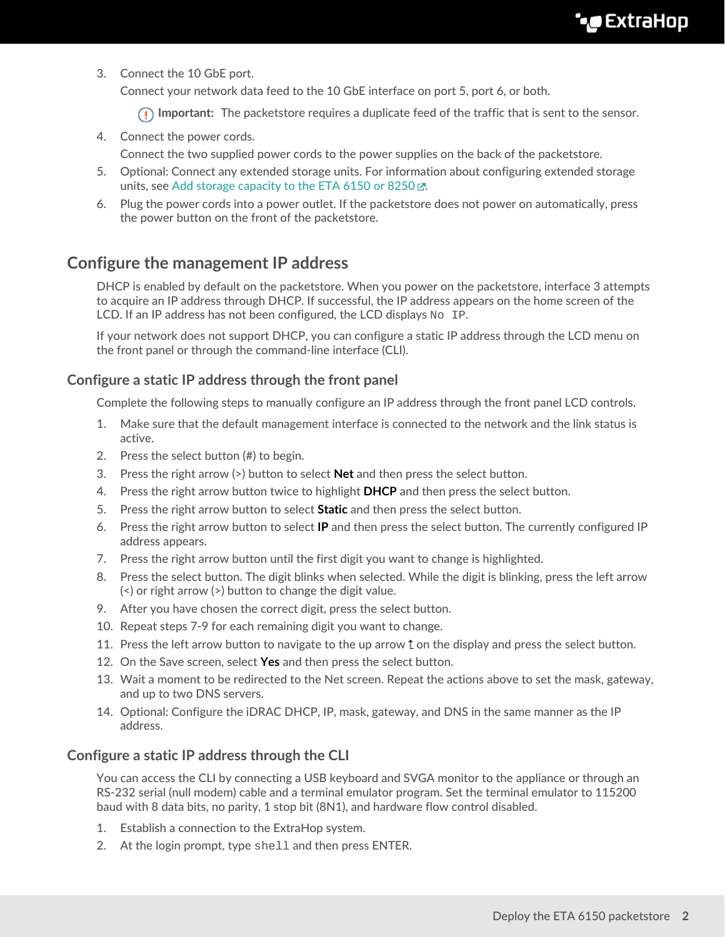3. Connect the 10 GbE port.

Connect your network data feed to the 10 GbE interface on port 5, port 6, or both.

**Important:** The packetstore requires a duplicate feed of the traffic that is sent to the sensor.

- 4. Connect the power cords.
	- Connect the two supplied power cords to the power supplies on the back of the packetstore.
- 5. Optional: Connect any extended storage units. For information about configuring extended storage units, see [Add storage capacity to the ETA 6150 or 8250](https://docs.extrahop.com/8.9/deploy-esu/#add-storage-capacity-to-the-eta-6150-or-8250)  $\mathbb{R}$ .
- 6. Plug the power cords into a power outlet. If the packetstore does not power on automatically, press the power button on the front of the packetstore.

# **Configure the management IP address**

DHCP is enabled by default on the packetstore. When you power on the packetstore, interface 3 attempts to acquire an IP address through DHCP. If successful, the IP address appears on the home screen of the LCD. If an IP address has not been configured, the LCD displays  $N_O$  IP.

If your network does not support DHCP, you can configure a static IP address through the LCD menu on the front panel or through the command-line interface (CLI).

## **Configure a static IP address through the front panel**

Complete the following steps to manually configure an IP address through the front panel LCD controls.

- 1. Make sure that the default management interface is connected to the network and the link status is active.
- 2. Press the select button (#) to begin.
- 3. Press the right arrow (>) button to select **Net** and then press the select button.
- 4. Press the right arrow button twice to highlight **DHCP** and then press the select button.
- 5. Press the right arrow button to select **Static** and then press the select button.
- 6. Press the right arrow button to select **IP** and then press the select button. The currently configured IP address appears.
- 7. Press the right arrow button until the first digit you want to change is highlighted.
- 8. Press the select button. The digit blinks when selected. While the digit is blinking, press the left arrow (<) or right arrow (>) button to change the digit value.
- 9. After you have chosen the correct digit, press the select button.
- 10. Repeat steps 7-9 for each remaining digit you want to change.
- 11. Press the left arrow button to navigate to the up arrow  $t$  on the display and press the select button.
- 12. On the Save screen, select **Yes** and then press the select button.
- 13. Wait a moment to be redirected to the Net screen. Repeat the actions above to set the mask, gateway, and up to two DNS servers.
- 14. Optional: Configure the iDRAC DHCP, IP, mask, gateway, and DNS in the same manner as the IP address.

## **Configure a static IP address through the CLI**

You can access the CLI by connecting a USB keyboard and SVGA monitor to the appliance or through an RS-232 serial (null modem) cable and a terminal emulator program. Set the terminal emulator to 115200 baud with 8 data bits, no parity, 1 stop bit (8N1), and hardware flow control disabled.

- 1. Establish a connection to the ExtraHop system.
- 2. At the login prompt, type shell and then press ENTER.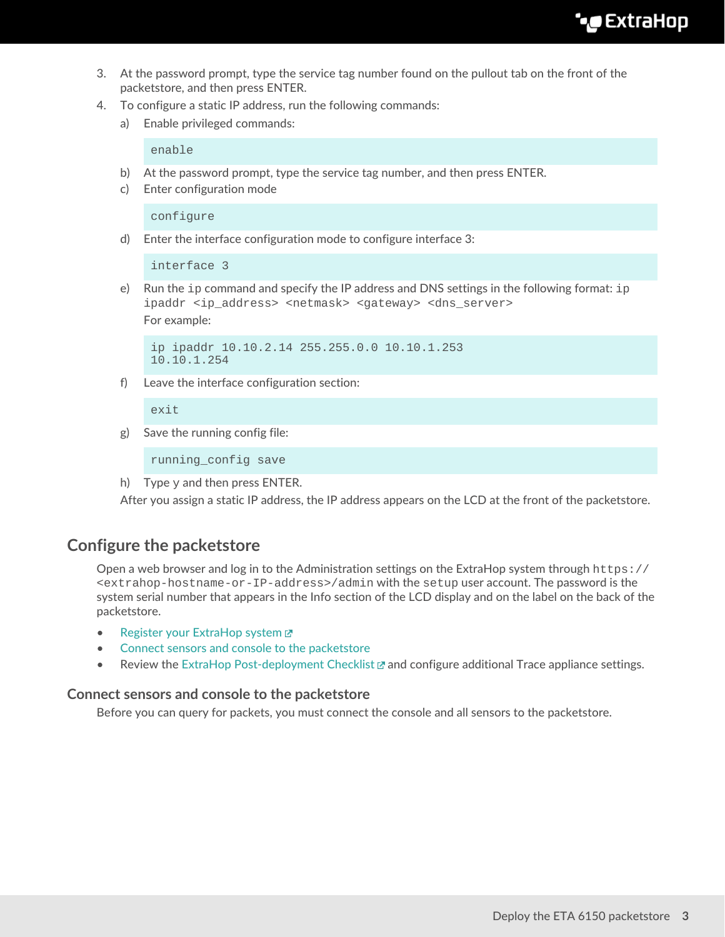- 3. At the password prompt, type the service tag number found on the pullout tab on the front of the packetstore, and then press ENTER.
- 4. To configure a static IP address, run the following commands:
	- a) Enable privileged commands:

enable

- b) At the password prompt, type the service tag number, and then press ENTER.
- c) Enter configuration mode

configure

d) Enter the interface configuration mode to configure interface 3:

interface 3

e) Run the  $ip$  command and specify the IP address and DNS settings in the following format:  $ip$ ipaddr <ip\_address> <netmask> <qateway> <dns\_server>

For example:

```
ip ipaddr 10.10.2.14 255.255.0.0 10.10.1.253
10.10.1.254
```
f) Leave the interface configuration section:

exit

g) Save the running config file:

running\_config save

h) Type  $y$  and then press ENTER.

After you assign a static IP address, the IP address appears on the LCD at the front of the packetstore.

## **Configure the packetstore**

Open a web browser and log in to the Administration settings on the ExtraHop system through https:// <extrahop-hostname-or-IP-address>/admin with the setup user account. The password is the system serial number that appears in the Info section of the LCD display and on the label on the back of the packetstore.

- Register your ExtraHop system
- [Connect sensors and console to the packetstore](#page-2-0)
- Review the [ExtraHop Post-deployment Checklist](https://docs.extrahop.com/8.9/eta-post-deployment-checklist) **M** and configure additional Trace appliance settings.

#### <span id="page-2-0"></span>**Connect sensors and console to the packetstore**

Before you can query for packets, you must connect the console and all sensors to the packetstore.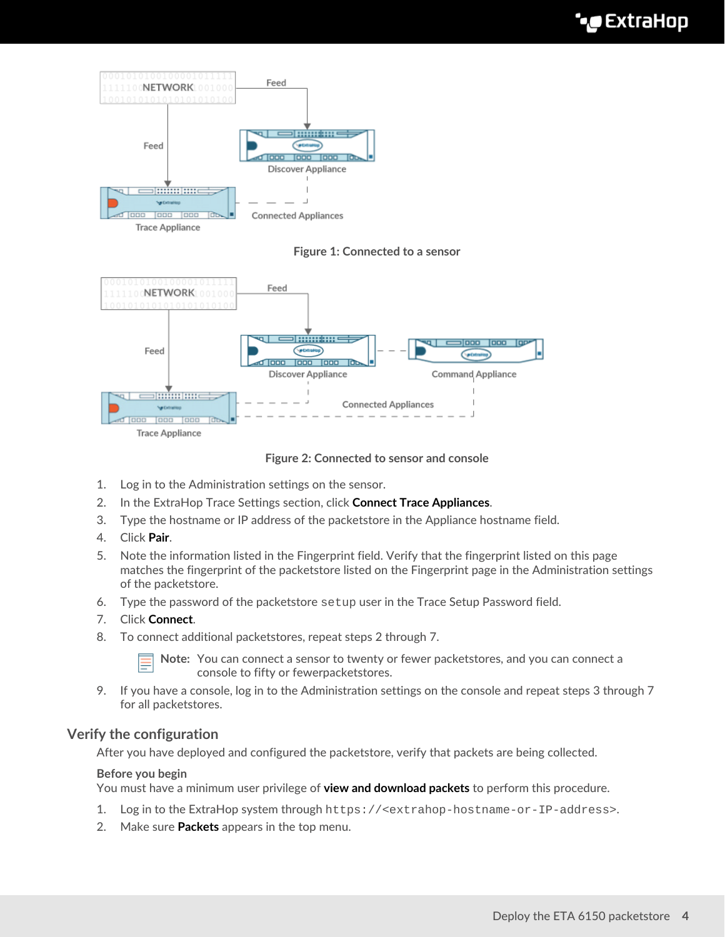

**Trace Appliance** 

**Figure 1: Connected to a sensor**



**Figure 2: Connected to sensor and console**

- 1. Log in to the Administration settings on the sensor.
- 2. In the ExtraHop Trace Settings section, click **Connect Trace Appliances**.
- 3. Type the hostname or IP address of the packetstore in the Appliance hostname field.
- 4. Click **Pair**.
- 5. Note the information listed in the Fingerprint field. Verify that the fingerprint listed on this page matches the fingerprint of the packetstore listed on the Fingerprint page in the Administration settings of the packetstore.
- 6. Type the password of the packetstore setup user in the Trace Setup Password field.
- 7. Click **Connect**.
- 8. To connect additional packetstores, repeat steps 2 through 7.

**Note:** You can connect a sensor to twenty or fewer packetstores, and you can connect a console to fifty or fewerpacketstores.

9. If you have a console, log in to the Administration settings on the console and repeat steps 3 through 7 for all packetstores.

## **Verify the configuration**

After you have deployed and configured the packetstore, verify that packets are being collected.

## **Before you begin**

You must have a minimum user privilege of **view and download packets** to perform this procedure.

- 1. Log in to the ExtraHop system through https://<extrahop-hostname-or-IP-address>.
- 2. Make sure **Packets** appears in the top menu.